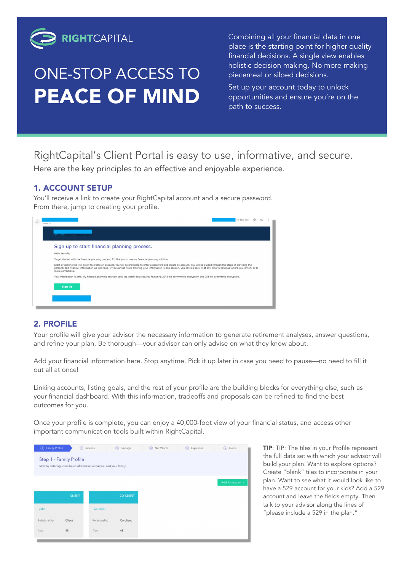

## ONE-STOP ACCESS TO PEACE OF MIND

Combining all your financial data in one place is the starting point for higher quality financial decisions. A single view enables holistic decision making. No more making piecemeal or siloed decisions.

Set up your account today to unlock opportunities and ensure you're on the path to success.

RightCapital's Client Portal is easy to use, informative, and secure.

Here are the key principles to an effective and enjoyable experience.

### 1. ACCOUNT SETUP

You'll receive a link to create your RightCapital account and a secure password. From there, jump to creating your profile.



#### 2. PROFILE

Your profile will give your advisor the necessary information to generate retirement analyses, answer questions, and refine your plan. Be thorough—your advisor can only advise on what they know about.

Add your financial information here. Stop anytime. Pick it up later in case you need to pause—no need to fill it out all at once!

Linking accounts, listing goals, and the rest of your profile are the building blocks for everything else, such as your financial dashboard. With this information, tradeoffs and proposals can be refined to find the best outcomes for you.

Once your profile is complete, you can enjoy a 40,000-foot view of your financial status, and access other important communication tools built within RightCapital.



TIP: TIP: The tiles in your Profile represent the full data set with which your advisor will build your plan. Want to explore options? Create "blank" tiles to incorporate in your plan. Want to see what it would look like to have a 529 account for your kids? Add a 529 account and leave the fields empty. Then talk to your advisor along the lines of "please include a 529 in the plan."